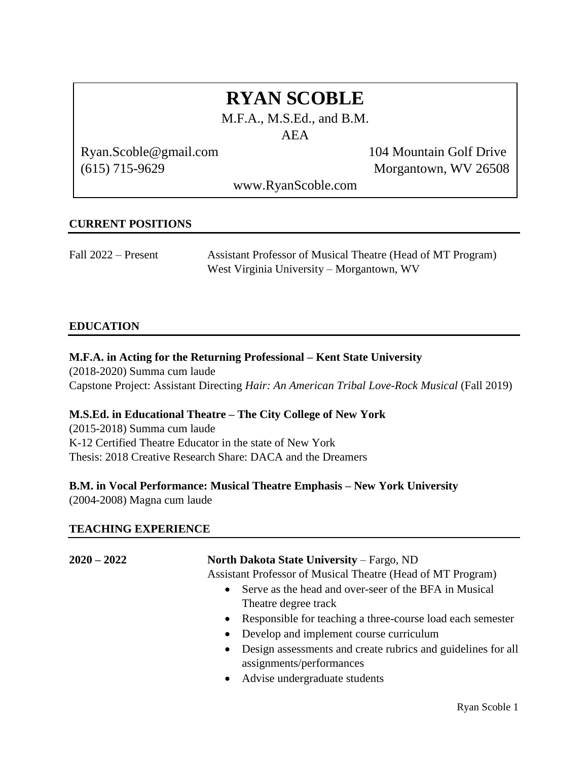# **RYAN SCOBLE**

M.F.A., M.S.Ed., and B.M.

AEA

Ryan.Scoble@gmail.com 104 Mountain Golf Drive

(615) 715-9629 Morgantown, WV 26508

www.RyanScoble.com

## **CURRENT POSITIONS**

| Fall 2022 – Present | Assistant Professor of Musical Theatre (Head of MT Program) |
|---------------------|-------------------------------------------------------------|
|                     | West Virginia University – Morgantown, WV                   |

## **EDUCATION**

## **M.F.A. in Acting for the Returning Professional – Kent State University**

(2018-2020) Summa cum laude Capstone Project: Assistant Directing *Hair: An American Tribal Love-Rock Musical* (Fall 2019)

#### **M.S.Ed. in Educational Theatre – The City College of New York**

(2015-2018) Summa cum laude K-12 Certified Theatre Educator in the state of New York Thesis: 2018 Creative Research Share: DACA and the Dreamers

## **B.M. in Vocal Performance: Musical Theatre Emphasis – New York University**

(2004-2008) Magna cum laude

## **TEACHING EXPERIENCE**

**2020 – 2022 North Dakota State University** – Fargo, ND

Assistant Professor of Musical Theatre (Head of MT Program)

- Serve as the head and over-seer of the BFA in Musical Theatre degree track
- Responsible for teaching a three-course load each semester
- Develop and implement course curriculum
- Design assessments and create rubrics and guidelines for all assignments/performances
- Advise undergraduate students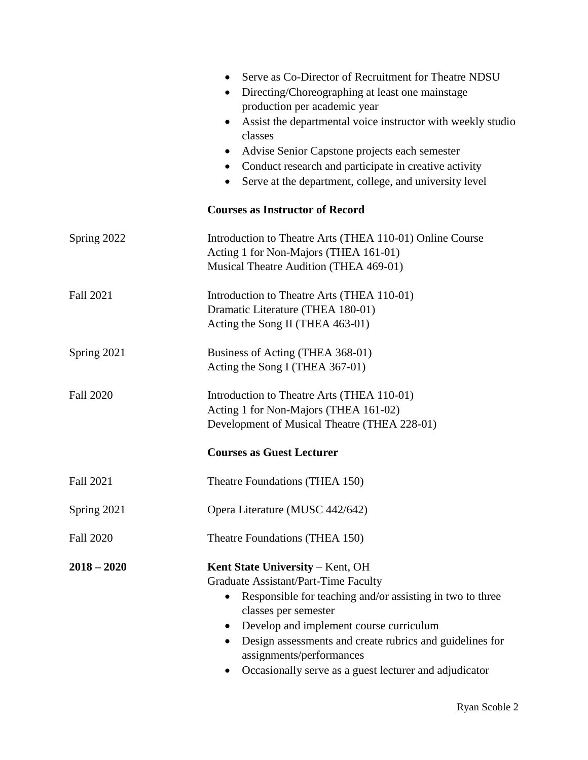|                  | Serve as Co-Director of Recruitment for Theatre NDSU<br>$\bullet$<br>Directing/Choreographing at least one mainstage<br>$\bullet$<br>production per academic year<br>Assist the departmental voice instructor with weekly studio<br>$\bullet$<br>classes<br>Advise Senior Capstone projects each semester<br>Conduct research and participate in creative activity<br>$\bullet$<br>Serve at the department, college, and university level |  |
|------------------|-------------------------------------------------------------------------------------------------------------------------------------------------------------------------------------------------------------------------------------------------------------------------------------------------------------------------------------------------------------------------------------------------------------------------------------------|--|
|                  | <b>Courses as Instructor of Record</b>                                                                                                                                                                                                                                                                                                                                                                                                    |  |
| Spring 2022      | Introduction to Theatre Arts (THEA 110-01) Online Course<br>Acting 1 for Non-Majors (THEA 161-01)<br>Musical Theatre Audition (THEA 469-01)                                                                                                                                                                                                                                                                                               |  |
| <b>Fall 2021</b> | Introduction to Theatre Arts (THEA 110-01)<br>Dramatic Literature (THEA 180-01)<br>Acting the Song II (THEA 463-01)                                                                                                                                                                                                                                                                                                                       |  |
| Spring 2021      | Business of Acting (THEA 368-01)<br>Acting the Song I (THEA 367-01)                                                                                                                                                                                                                                                                                                                                                                       |  |
| <b>Fall 2020</b> | Introduction to Theatre Arts (THEA 110-01)<br>Acting 1 for Non-Majors (THEA 161-02)<br>Development of Musical Theatre (THEA 228-01)                                                                                                                                                                                                                                                                                                       |  |
|                  | <b>Courses as Guest Lecturer</b>                                                                                                                                                                                                                                                                                                                                                                                                          |  |
| Fall 2021        | Theatre Foundations (THEA 150)                                                                                                                                                                                                                                                                                                                                                                                                            |  |
| Spring 2021      | Opera Literature (MUSC 442/642)                                                                                                                                                                                                                                                                                                                                                                                                           |  |
| <b>Fall 2020</b> | Theatre Foundations (THEA 150)                                                                                                                                                                                                                                                                                                                                                                                                            |  |
| $2018 - 2020$    | Kent State University – Kent, OH<br>Graduate Assistant/Part-Time Faculty<br>Responsible for teaching and/or assisting in two to three<br>$\bullet$<br>classes per semester<br>Develop and implement course curriculum<br>Design assessments and create rubrics and guidelines for<br>$\bullet$<br>assignments/performances<br>Occasionally serve as a guest lecturer and adjudicator                                                      |  |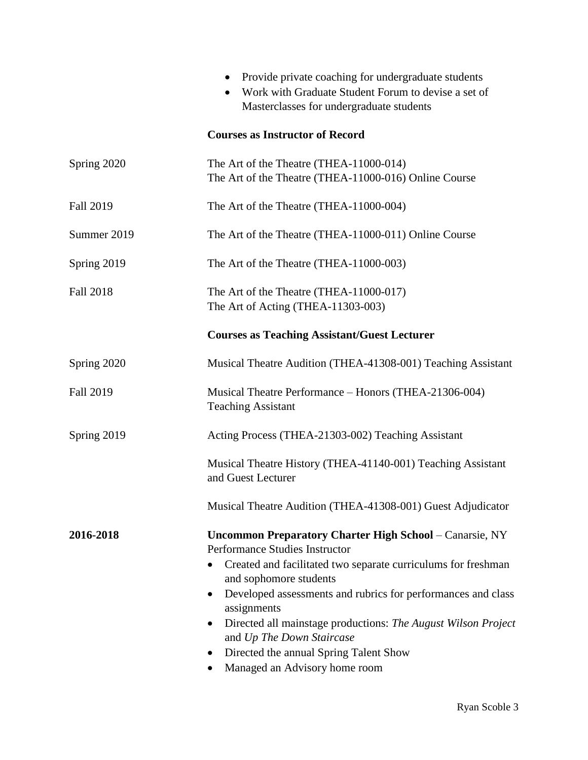|                  | Provide private coaching for undergraduate students<br>Work with Graduate Student Forum to devise a set of<br>$\bullet$<br>Masterclasses for undergraduate students                                                                                                                                                                                                                                                                                              |
|------------------|------------------------------------------------------------------------------------------------------------------------------------------------------------------------------------------------------------------------------------------------------------------------------------------------------------------------------------------------------------------------------------------------------------------------------------------------------------------|
|                  | <b>Courses as Instructor of Record</b>                                                                                                                                                                                                                                                                                                                                                                                                                           |
| Spring 2020      | The Art of the Theatre (THEA-11000-014)<br>The Art of the Theatre (THEA-11000-016) Online Course                                                                                                                                                                                                                                                                                                                                                                 |
| <b>Fall 2019</b> | The Art of the Theatre (THEA-11000-004)                                                                                                                                                                                                                                                                                                                                                                                                                          |
| Summer 2019      | The Art of the Theatre (THEA-11000-011) Online Course                                                                                                                                                                                                                                                                                                                                                                                                            |
| Spring 2019      | The Art of the Theatre (THEA-11000-003)                                                                                                                                                                                                                                                                                                                                                                                                                          |
| <b>Fall 2018</b> | The Art of the Theatre (THEA-11000-017)<br>The Art of Acting (THEA-11303-003)                                                                                                                                                                                                                                                                                                                                                                                    |
|                  | <b>Courses as Teaching Assistant/Guest Lecturer</b>                                                                                                                                                                                                                                                                                                                                                                                                              |
| Spring 2020      | Musical Theatre Audition (THEA-41308-001) Teaching Assistant                                                                                                                                                                                                                                                                                                                                                                                                     |
| <b>Fall 2019</b> | Musical Theatre Performance – Honors (THEA-21306-004)<br><b>Teaching Assistant</b>                                                                                                                                                                                                                                                                                                                                                                               |
| Spring 2019      | Acting Process (THEA-21303-002) Teaching Assistant                                                                                                                                                                                                                                                                                                                                                                                                               |
|                  | Musical Theatre History (THEA-41140-001) Teaching Assistant<br>and Guest Lecturer                                                                                                                                                                                                                                                                                                                                                                                |
|                  | Musical Theatre Audition (THEA-41308-001) Guest Adjudicator                                                                                                                                                                                                                                                                                                                                                                                                      |
| 2016-2018        | <b>Uncommon Preparatory Charter High School - Canarsie, NY</b><br>Performance Studies Instructor<br>Created and facilitated two separate curriculums for freshman<br>and sophomore students<br>Developed assessments and rubrics for performances and class<br>$\bullet$<br>assignments<br>Directed all mainstage productions: The August Wilson Project<br>and Up The Down Staircase<br>Directed the annual Spring Talent Show<br>Managed an Advisory home room |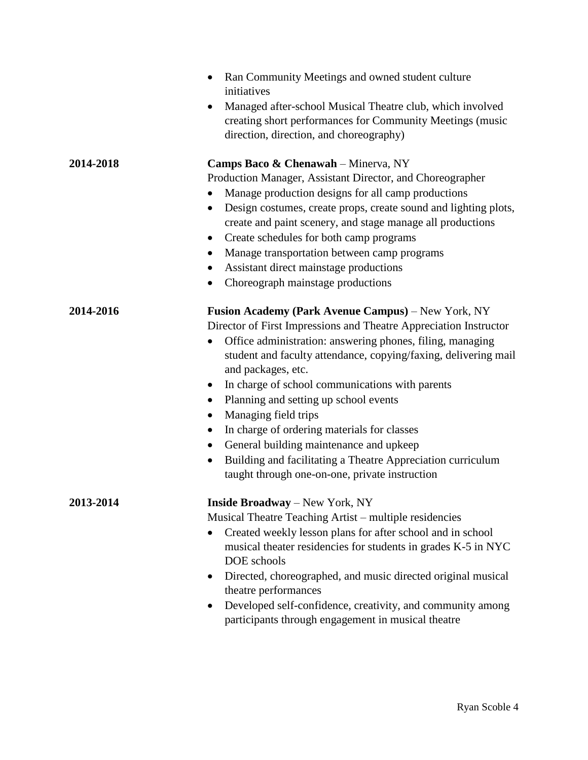|           | Ran Community Meetings and owned student culture<br>$\bullet$<br>initiatives                                                                                                                                                                                                                                                                                                                                                                                                                                                                                                                                                                                                                                   |
|-----------|----------------------------------------------------------------------------------------------------------------------------------------------------------------------------------------------------------------------------------------------------------------------------------------------------------------------------------------------------------------------------------------------------------------------------------------------------------------------------------------------------------------------------------------------------------------------------------------------------------------------------------------------------------------------------------------------------------------|
|           | Managed after-school Musical Theatre club, which involved<br>$\bullet$<br>creating short performances for Community Meetings (music<br>direction, direction, and choreography)                                                                                                                                                                                                                                                                                                                                                                                                                                                                                                                                 |
| 2014-2018 | Camps Baco & Chenawah - Minerva, NY                                                                                                                                                                                                                                                                                                                                                                                                                                                                                                                                                                                                                                                                            |
|           | Production Manager, Assistant Director, and Choreographer                                                                                                                                                                                                                                                                                                                                                                                                                                                                                                                                                                                                                                                      |
|           | Manage production designs for all camp productions                                                                                                                                                                                                                                                                                                                                                                                                                                                                                                                                                                                                                                                             |
|           | Design costumes, create props, create sound and lighting plots,<br>$\bullet$<br>create and paint scenery, and stage manage all productions                                                                                                                                                                                                                                                                                                                                                                                                                                                                                                                                                                     |
|           | Create schedules for both camp programs<br>$\bullet$                                                                                                                                                                                                                                                                                                                                                                                                                                                                                                                                                                                                                                                           |
|           | Manage transportation between camp programs<br>$\bullet$                                                                                                                                                                                                                                                                                                                                                                                                                                                                                                                                                                                                                                                       |
|           | Assistant direct mainstage productions<br>$\bullet$                                                                                                                                                                                                                                                                                                                                                                                                                                                                                                                                                                                                                                                            |
|           | Choreograph mainstage productions                                                                                                                                                                                                                                                                                                                                                                                                                                                                                                                                                                                                                                                                              |
| 2014-2016 | <b>Fusion Academy (Park Avenue Campus)</b> – New York, NY<br>Director of First Impressions and Theatre Appreciation Instructor<br>Office administration: answering phones, filing, managing<br>$\bullet$<br>student and faculty attendance, copying/faxing, delivering mail<br>and packages, etc.<br>In charge of school communications with parents<br>$\bullet$<br>Planning and setting up school events<br>$\bullet$<br>Managing field trips<br>$\bullet$<br>In charge of ordering materials for classes<br>$\bullet$<br>General building maintenance and upkeep<br>$\bullet$<br>Building and facilitating a Theatre Appreciation curriculum<br>$\bullet$<br>taught through one-on-one, private instruction |
| 2013-2014 | <b>Inside Broadway</b> – New York, NY<br>Musical Theatre Teaching Artist – multiple residencies<br>Created weekly lesson plans for after school and in school<br>$\bullet$<br>musical theater residencies for students in grades K-5 in NYC<br>DOE schools<br>Directed, choreographed, and music directed original musical<br>$\bullet$<br>theatre performances<br>Developed self-confidence, creativity, and community among<br>participants through engagement in musical theatre                                                                                                                                                                                                                            |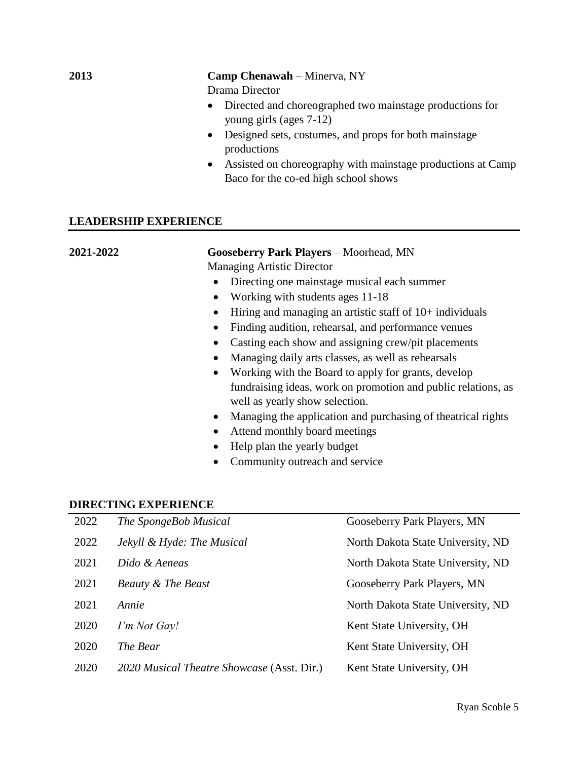## **2013 Camp Chenawah** – Minerva, NY

Drama Director

- Directed and choreographed two mainstage productions for young girls (ages 7-12)
- Designed sets, costumes, and props for both mainstage productions
- Assisted on choreography with mainstage productions at Camp Baco for the co-ed high school shows

#### **LEADERSHIP EXPERIENCE**

| 2021-2022 | Gooseberry Park Players - Moorhead, MN                                                          |  |  |
|-----------|-------------------------------------------------------------------------------------------------|--|--|
|           | <b>Managing Artistic Director</b>                                                               |  |  |
|           | Directing one mainstage musical each summer                                                     |  |  |
|           | Working with students ages 11-18<br>$\bullet$                                                   |  |  |
|           | Hiring and managing an artistic staff of $10+$ individuals<br>$\bullet$                         |  |  |
|           | Finding audition, rehearsal, and performance venues<br>$\bullet$                                |  |  |
|           | Casting each show and assigning crew/pit placements<br>$\bullet$                                |  |  |
|           | Managing daily arts classes, as well as rehearsals<br>$\bullet$                                 |  |  |
|           | Working with the Board to apply for grants, develop<br>$\bullet$                                |  |  |
|           | fundraising ideas, work on promotion and public relations, as<br>well as yearly show selection. |  |  |
|           | Managing the application and purchasing of the atrical rights<br>$\bullet$                      |  |  |
|           | Attend monthly board meetings<br>$\bullet$                                                      |  |  |
|           | Help plan the yearly budget                                                                     |  |  |

## • Community outreach and service

#### **DIRECTING EXPERIENCE**

| 2022 | The SpongeBob Musical                      | Gooseberry Park Players, MN       |
|------|--------------------------------------------|-----------------------------------|
| 2022 | Jekyll & Hyde: The Musical                 | North Dakota State University, ND |
| 2021 | Dido & Aeneas                              | North Dakota State University, ND |
| 2021 | <b>Beauty &amp; The Beast</b>              | Gooseberry Park Players, MN       |
| 2021 | Annie                                      | North Dakota State University, ND |
| 2020 | I'm Not Gay!                               | Kent State University, OH         |
| 2020 | The Bear                                   | Kent State University, OH         |
| 2020 | 2020 Musical Theatre Showcase (Asst. Dir.) | Kent State University, OH         |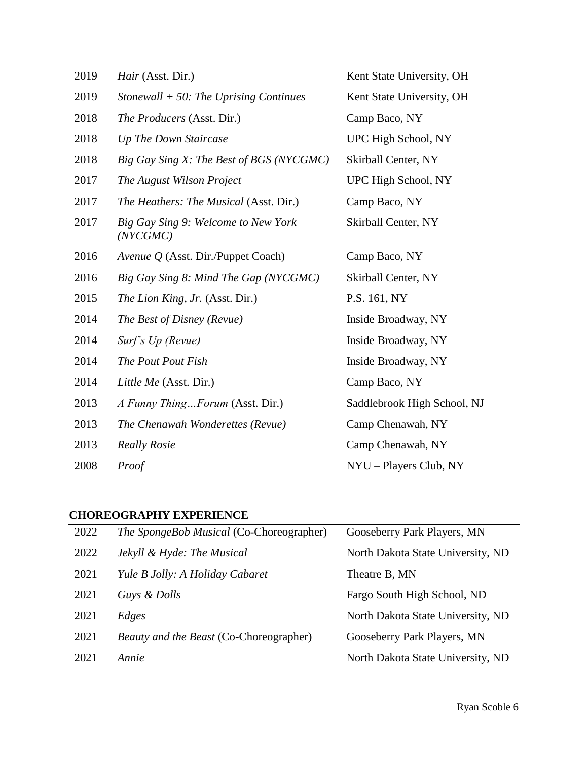| 2019 | Hair (Asst. Dir.)                               | Kent State University, OH   |
|------|-------------------------------------------------|-----------------------------|
| 2019 | Stonewall $+$ 50: The Uprising Continues        | Kent State University, OH   |
| 2018 | The Producers (Asst. Dir.)                      | Camp Baco, NY               |
| 2018 | Up The Down Staircase                           | UPC High School, NY         |
| 2018 | Big Gay Sing X: The Best of BGS (NYCGMC)        | Skirball Center, NY         |
| 2017 | The August Wilson Project                       | UPC High School, NY         |
| 2017 | The Heathers: The Musical (Asst. Dir.)          | Camp Baco, NY               |
| 2017 | Big Gay Sing 9: Welcome to New York<br>(NYCGMC) | Skirball Center, NY         |
| 2016 | <i>Avenue Q</i> (Asst. Dir./Puppet Coach)       | Camp Baco, NY               |
| 2016 | Big Gay Sing 8: Mind The Gap (NYCGMC)           | Skirball Center, NY         |
| 2015 | The Lion King, Jr. (Asst. Dir.)                 | P.S. 161, NY                |
| 2014 | The Best of Disney (Revue)                      | Inside Broadway, NY         |
| 2014 | Surf's Up (Revue)                               | Inside Broadway, NY         |
| 2014 | The Pout Pout Fish                              | Inside Broadway, NY         |
| 2014 | Little Me (Asst. Dir.)                          | Camp Baco, NY               |
| 2013 | A Funny ThingForum (Asst. Dir.)                 | Saddlebrook High School, NJ |
| 2013 | The Chenawah Wonderettes (Revue)                | Camp Chenawah, NY           |
| 2013 | <b>Really Rosie</b>                             | Camp Chenawah, NY           |
| 2008 | Proof                                           | NYU - Players Club, NY      |

# **CHOREOGRAPHY EXPERIENCE**

| 2022 | The SpongeBob Musical (Co-Choreographer) | Gooseberry Park Players, MN       |
|------|------------------------------------------|-----------------------------------|
| 2022 | Jekyll & Hyde: The Musical               | North Dakota State University, ND |
| 2021 | Yule B Jolly: A Holiday Cabaret          | Theatre B, MN                     |
| 2021 | Guys & Dolls                             | Fargo South High School, ND       |
| 2021 | Edges                                    | North Dakota State University, ND |
| 2021 | Beauty and the Beast (Co-Choreographer)  | Gooseberry Park Players, MN       |
| 2021 | Annie                                    | North Dakota State University, ND |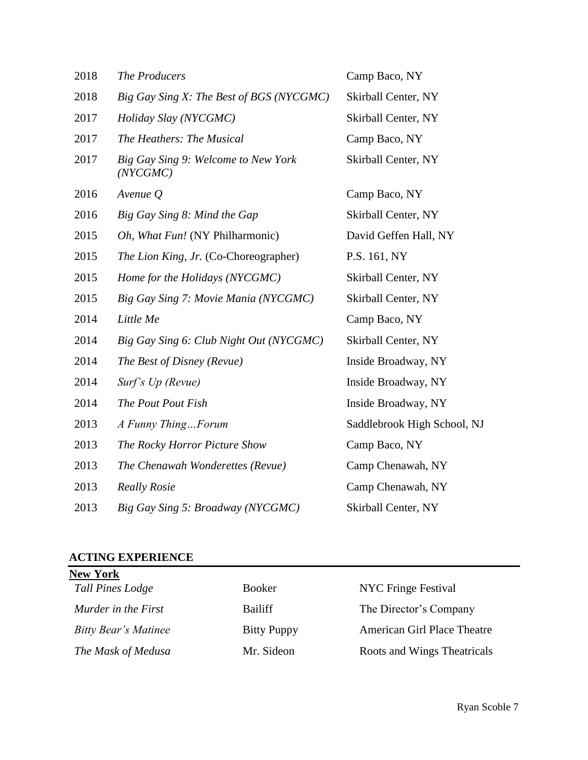| 2018 | The Producers                                   | Camp Baco, NY               |
|------|-------------------------------------------------|-----------------------------|
| 2018 | Big Gay Sing X: The Best of BGS (NYCGMC)        | Skirball Center, NY         |
| 2017 | Holiday Slay (NYCGMC)                           | Skirball Center, NY         |
| 2017 | The Heathers: The Musical                       | Camp Baco, NY               |
| 2017 | Big Gay Sing 9: Welcome to New York<br>(NYCGMC) | Skirball Center, NY         |
| 2016 | Avenue $Q$                                      | Camp Baco, NY               |
| 2016 | Big Gay Sing 8: Mind the Gap                    | Skirball Center, NY         |
| 2015 | Oh, What Fun! (NY Philharmonic)                 | David Geffen Hall, NY       |
| 2015 | <i>The Lion King, Jr.</i> (Co-Choreographer)    | P.S. 161, NY                |
| 2015 | Home for the Holidays (NYCGMC)                  | Skirball Center, NY         |
| 2015 | Big Gay Sing 7: Movie Mania (NYCGMC)            | Skirball Center, NY         |
| 2014 | Little Me                                       | Camp Baco, NY               |
| 2014 | Big Gay Sing 6: Club Night Out (NYCGMC)         | Skirball Center, NY         |
| 2014 | The Best of Disney (Revue)                      | Inside Broadway, NY         |
| 2014 | Surf's Up (Revue)                               | Inside Broadway, NY         |
| 2014 | The Pout Pout Fish                              | Inside Broadway, NY         |
| 2013 | A Funny ThingForum                              | Saddlebrook High School, NJ |
| 2013 | The Rocky Horror Picture Show                   | Camp Baco, NY               |
| 2013 | The Chenawah Wonderettes (Revue)                | Camp Chenawah, NY           |
| 2013 | <b>Really Rosie</b>                             | Camp Chenawah, NY           |
| 2013 | Big Gay Sing 5: Broadway (NYCGMC)               | <b>Skirball Center, NY</b>  |

# **ACTING EXPERIENCE**

| <b>New York</b>             |                    |                             |
|-----------------------------|--------------------|-----------------------------|
| Tall Pines Lodge            | <b>Booker</b>      | NYC Fringe Festival         |
| Murder in the First         | Bailiff            | The Director's Company      |
| <b>Bitty Bear's Matinee</b> | <b>Bitty Puppy</b> | American Girl Place Theatre |
| The Mask of Medusa          | Mr. Sideon         | Roots and Wings Theatricals |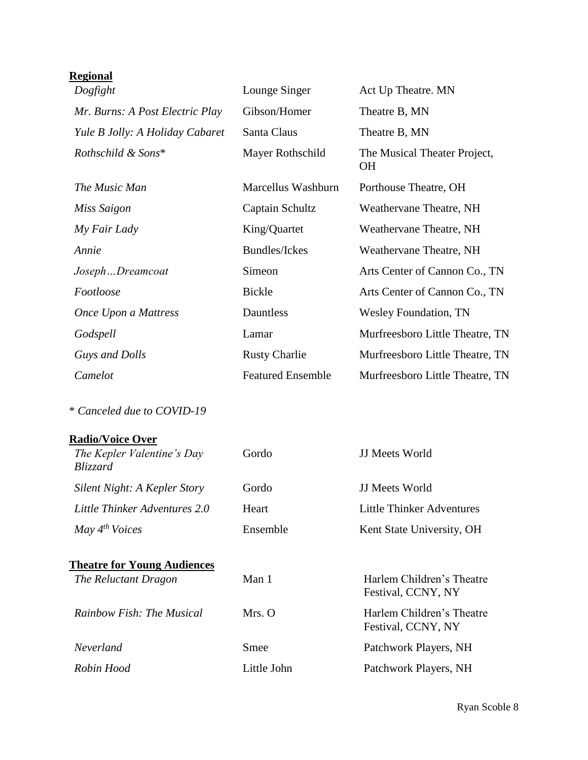# **Regional**

| Dogfight                        | Lounge Singer            | Act Up Theatre. MN                        |
|---------------------------------|--------------------------|-------------------------------------------|
| Mr. Burns: A Post Electric Play | Gibson/Homer             | Theatre B, MN                             |
| Yule B Jolly: A Holiday Cabaret | Santa Claus              | Theatre B, MN                             |
| Rothschild & Sons*              | Mayer Rothschild         | The Musical Theater Project,<br><b>OH</b> |
| The Music Man                   | Marcellus Washburn       | Porthouse Theatre, OH                     |
| Miss Saigon                     | Captain Schultz          | Weathervane Theatre, NH                   |
| My Fair Lady                    | King/Quartet             | Weathervane Theatre, NH                   |
| Annie                           | <b>Bundles/Ickes</b>     | Weathervane Theatre, NH                   |
| JosephDreamcoat                 | Simeon                   | Arts Center of Cannon Co., TN             |
| Footloose                       | <b>Bickle</b>            | Arts Center of Cannon Co., TN             |
| Once Upon a Mattress            | Dauntless                | <b>Wesley Foundation, TN</b>              |
| Godspell                        | Lamar                    | Murfreesboro Little Theatre, TN           |
| Guys and Dolls                  | <b>Rusty Charlie</b>     | Murfreesboro Little Theatre, TN           |
| Camelot                         | <b>Featured Ensemble</b> | Murfreesboro Little Theatre, TN           |

\* *Canceled due to COVID-19*

# **Radio/Voice Over**

| The Kepler Valentine's Day<br>Blizzard | Gordo       | <b>JJ</b> Meets World                           |
|----------------------------------------|-------------|-------------------------------------------------|
| Silent Night: A Kepler Story           | Gordo       | <b>JJ</b> Meets World                           |
| Little Thinker Adventures 2.0          | Heart       | Little Thinker Adventures                       |
| May $4^{th}$ Voices                    | Ensemble    | Kent State University, OH                       |
| <b>Theatre for Young Audiences</b>     |             |                                                 |
| The Reluctant Dragon                   | Man 1       | Harlem Children's Theatre<br>Festival, CCNY, NY |
| Rainbow Fish: The Musical              | $Mrs.$ O    | Harlem Children's Theatre<br>Festival, CCNY, NY |
| Neverland                              | Smee        | Patchwork Players, NH                           |
| Robin Hood                             | Little John | Patchwork Players, NH                           |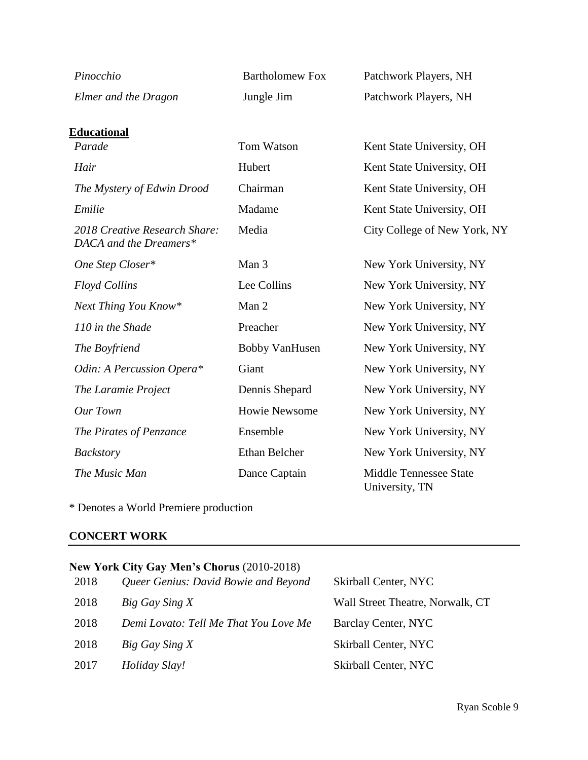| Pinocchio                                               | <b>Bartholomew Fox</b> | Patchwork Players, NH                           |
|---------------------------------------------------------|------------------------|-------------------------------------------------|
| Elmer and the Dragon                                    | Jungle Jim             | Patchwork Players, NH                           |
| <u>Educational</u>                                      |                        |                                                 |
| Parade                                                  | Tom Watson             | Kent State University, OH                       |
| Hair                                                    | Hubert                 | Kent State University, OH                       |
| The Mystery of Edwin Drood                              | Chairman               | Kent State University, OH                       |
| Emilie                                                  | Madame                 | Kent State University, OH                       |
| 2018 Creative Research Share:<br>DACA and the Dreamers* | Media                  | City College of New York, NY                    |
| One Step Closer*                                        | Man 3                  | New York University, NY                         |
| <b>Floyd Collins</b>                                    | Lee Collins            | New York University, NY                         |
| Next Thing You Know*                                    | Man 2                  | New York University, NY                         |
| 110 in the Shade                                        | Preacher               | New York University, NY                         |
| The Boyfriend                                           | <b>Bobby VanHusen</b>  | New York University, NY                         |
| Odin: A Percussion Opera*                               | Giant                  | New York University, NY                         |
| The Laramie Project                                     | Dennis Shepard         | New York University, NY                         |
| Our Town                                                | <b>Howie Newsome</b>   | New York University, NY                         |
| The Pirates of Penzance                                 | Ensemble               | New York University, NY                         |
| Backstory                                               | Ethan Belcher          | New York University, NY                         |
| The Music Man                                           | Dance Captain          | <b>Middle Tennessee State</b><br>University, TN |

\* Denotes a World Premiere production

# **CONCERT WORK**

|      | New York City Gay Men's Chorus (2010-2018) |                                  |
|------|--------------------------------------------|----------------------------------|
| 2018 | Queer Genius: David Bowie and Beyond       | Skirball Center, NYC             |
| 2018 | Big Gay Sing X                             | Wall Street Theatre, Norwalk, CT |
| 2018 | Demi Lovato: Tell Me That You Love Me      | Barclay Center, NYC              |
| 2018 | Big Gay Sing X                             | Skirball Center, NYC             |
| 2017 | Holiday Slay!                              | Skirball Center, NYC             |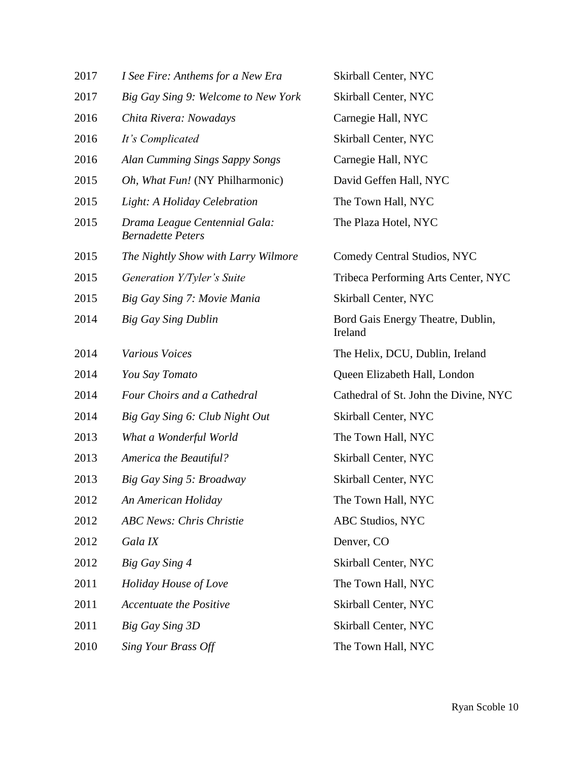| 2017 | I See Fire: Anthems for a New Era                         | Skirball Center, NYC                         |
|------|-----------------------------------------------------------|----------------------------------------------|
| 2017 | Big Gay Sing 9: Welcome to New York                       | Skirball Center, NYC                         |
| 2016 | Chita Rivera: Nowadays                                    | Carnegie Hall, NYC                           |
| 2016 | It's Complicated                                          | Skirball Center, NYC                         |
| 2016 | Alan Cumming Sings Sappy Songs                            | Carnegie Hall, NYC                           |
| 2015 | Oh, What Fun! (NY Philharmonic)                           | David Geffen Hall, NYC                       |
| 2015 | Light: A Holiday Celebration                              | The Town Hall, NYC                           |
| 2015 | Drama League Centennial Gala:<br><b>Bernadette Peters</b> | The Plaza Hotel, NYC                         |
| 2015 | The Nightly Show with Larry Wilmore                       | Comedy Central Studios, NYC                  |
| 2015 | Generation Y/Tyler's Suite                                | Tribeca Performing Arts Center, NYC          |
| 2015 | Big Gay Sing 7: Movie Mania                               | Skirball Center, NYC                         |
| 2014 | <b>Big Gay Sing Dublin</b>                                | Bord Gais Energy Theatre, Dublin,<br>Ireland |
| 2014 | <b>Various Voices</b>                                     | The Helix, DCU, Dublin, Ireland              |
| 2014 | You Say Tomato                                            | Queen Elizabeth Hall, London                 |
| 2014 | Four Choirs and a Cathedral                               | Cathedral of St. John the Divine, NYC        |
| 2014 | Big Gay Sing 6: Club Night Out                            | Skirball Center, NYC                         |
| 2013 | What a Wonderful World                                    | The Town Hall, NYC                           |
| 2013 | <b>America the Beautiful?</b>                             | Skirball Center, NYC                         |
| 2013 | Big Gay Sing 5: Broadway                                  | Skirball Center, NYC                         |
| 2012 | An American Holiday                                       | The Town Hall, NYC                           |
| 2012 | <b>ABC News: Chris Christie</b>                           | <b>ABC Studios, NYC</b>                      |
| 2012 | Gala IX                                                   | Denver, CO                                   |
| 2012 | Big Gay Sing 4                                            | Skirball Center, NYC                         |
| 2011 | Holiday House of Love                                     | The Town Hall, NYC                           |
| 2011 | <b>Accentuate the Positive</b>                            | Skirball Center, NYC                         |
| 2011 | Big Gay Sing 3D                                           | Skirball Center, NYC                         |
| 2010 | Sing Your Brass Off                                       | The Town Hall, NYC                           |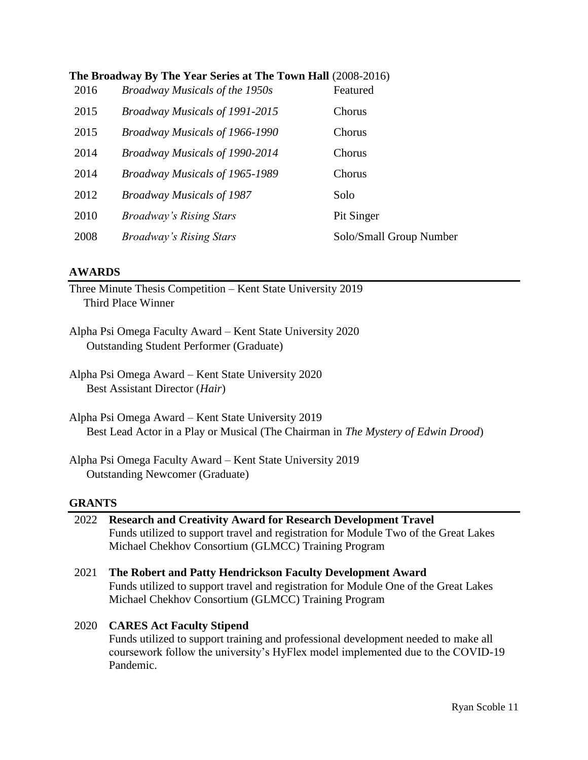|      | The Broadway By The Year Series at The Town Hall (2008-2016) |          |
|------|--------------------------------------------------------------|----------|
| 2016 | Broadway Musicals of the 1950s                               | Featured |

| <b>2010</b> | <i>Brodaway Musicals of the 1950s</i> | <b>reatured</b>         |
|-------------|---------------------------------------|-------------------------|
| 2015        | <b>Broadway Musicals of 1991-2015</b> | Chorus                  |
| 2015        | Broadway Musicals of 1966-1990        | Chorus                  |
| 2014        | <b>Broadway Musicals of 1990-2014</b> | Chorus                  |
| 2014        | Broadway Musicals of 1965-1989        | Chorus                  |
| 2012        | <b>Broadway Musicals of 1987</b>      | Solo                    |
| 2010        | <b>Broadway's Rising Stars</b>        | Pit Singer              |
| 2008        | <b>Broadway's Rising Stars</b>        | Solo/Small Group Number |

## **AWARDS**

Three Minute Thesis Competition – Kent State University 2019 Third Place Winner

Alpha Psi Omega Faculty Award – Kent State University 2020 Outstanding Student Performer (Graduate)

Alpha Psi Omega Award – Kent State University 2020 Best Assistant Director (*Hair*)

- Alpha Psi Omega Award Kent State University 2019 Best Lead Actor in a Play or Musical (The Chairman in *The Mystery of Edwin Drood*)
- Alpha Psi Omega Faculty Award Kent State University 2019 Outstanding Newcomer (Graduate)

# **GRANTS**

| 2022 Research and Creativity Award for Research Development Travel                  |  |  |
|-------------------------------------------------------------------------------------|--|--|
| Funds utilized to support travel and registration for Module Two of the Great Lakes |  |  |
| Michael Chekhov Consortium (GLMCC) Training Program                                 |  |  |

2021 **The Robert and Patty Hendrickson Faculty Development Award**  Funds utilized to support travel and registration for Module One of the Great Lakes Michael Chekhov Consortium (GLMCC) Training Program

## 2020 **CARES Act Faculty Stipend**

Funds utilized to support training and professional development needed to make all coursework follow the university's HyFlex model implemented due to the COVID-19 Pandemic.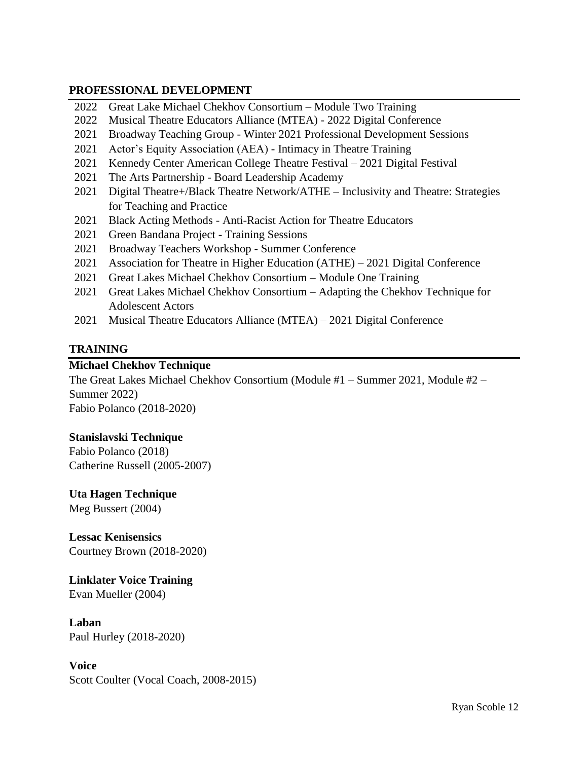## **PROFESSIONAL DEVELOPMENT**

- 2022 Great Lake Michael Chekhov Consortium Module Two Training
- 2022 Musical Theatre Educators Alliance (MTEA) 2022 Digital Conference
- 2021 Broadway Teaching Group Winter 2021 Professional Development Sessions
- 2021 Actor's Equity Association (AEA) Intimacy in Theatre Training
- 2021 Kennedy Center American College Theatre Festival 2021 Digital Festival
- 2021 The Arts Partnership Board Leadership Academy
- 2021 Digital Theatre+/Black Theatre Network/ATHE Inclusivity and Theatre: Strategies for Teaching and Practice
- 2021 Black Acting Methods Anti-Racist Action for Theatre Educators
- 2021 Green Bandana Project Training Sessions
- 2021 Broadway Teachers Workshop Summer Conference
- 2021 Association for Theatre in Higher Education (ATHE) 2021 Digital Conference
- 2021 Great Lakes Michael Chekhov Consortium Module One Training
- 2021 Great Lakes Michael Chekhov Consortium Adapting the Chekhov Technique for Adolescent Actors
- 2021 Musical Theatre Educators Alliance (MTEA) 2021 Digital Conference

# **TRAINING**

# **Michael Chekhov Technique**

The Great Lakes Michael Chekhov Consortium (Module #1 – Summer 2021, Module #2 – Summer 2022) Fabio Polanco (2018-2020)

# **Stanislavski Technique**

Fabio Polanco (2018) Catherine Russell (2005-2007)

# **Uta Hagen Technique**

Meg Bussert (2004)

**Lessac Kenisensics** Courtney Brown (2018-2020)

# **Linklater Voice Training**

Evan Mueller (2004)

**Laban** Paul Hurley (2018-2020)

**Voice** Scott Coulter (Vocal Coach, 2008-2015)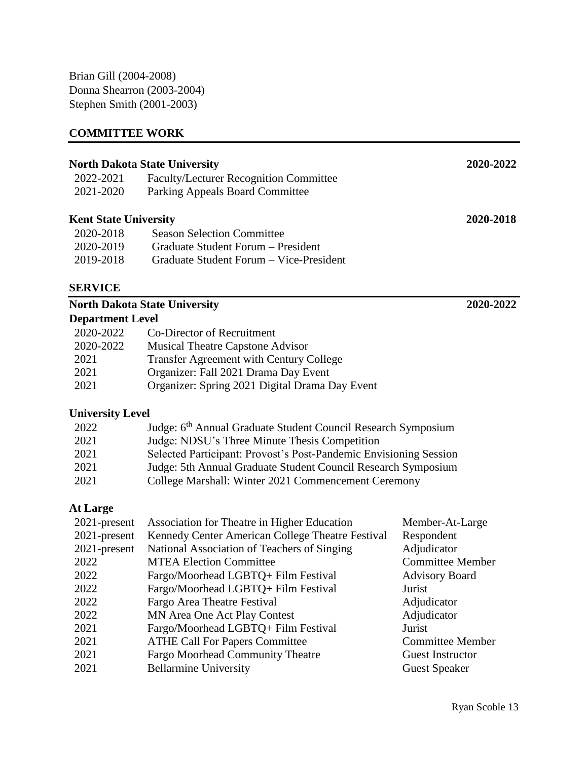Brian Gill (2004-2008) Donna Shearron (2003-2004) Stephen Smith (2001-2003)

# **COMMITTEE WORK**

| <b>Department Level</b>              |                                               |           |
|--------------------------------------|-----------------------------------------------|-----------|
|                                      | <b>North Dakota State University</b>          | 2020-2022 |
| <b>SERVICE</b>                       |                                               |           |
| 2019-2018                            | Graduate Student Forum – Vice-President       |           |
| 2020-2019                            | Graduate Student Forum – President            |           |
| 2020-2018                            | <b>Season Selection Committee</b>             |           |
| <b>Kent State University</b>         |                                               | 2020-2018 |
| 2021-2020                            | Parking Appeals Board Committee               |           |
| 2022-2021                            | <b>Faculty/Lecturer Recognition Committee</b> |           |
| <b>North Dakota State University</b> |                                               | 2020-2022 |
|                                      |                                               |           |

| 2020-2022 | Co-Director of Recruitment                     |
|-----------|------------------------------------------------|
| 2020-2022 | <b>Musical Theatre Capstone Advisor</b>        |
| 2021      | <b>Transfer Agreement with Century College</b> |
| 2021      | Organizer: Fall 2021 Drama Day Event           |
| 2021      | Organizer: Spring 2021 Digital Drama Day Event |

# **University Level**

| 2022 | Judge: 6 <sup>th</sup> Annual Graduate Student Council Research Symposium |
|------|---------------------------------------------------------------------------|
| 2021 | Judge: NDSU's Three Minute Thesis Competition                             |
| 2021 | Selected Participant: Provost's Post-Pandemic Envisioning Session         |
| 2021 | Judge: 5th Annual Graduate Student Council Research Symposium             |
| 2021 | College Marshall: Winter 2021 Commencement Ceremony                       |

# **At Large**

| Association for Theatre in Higher Education      | Member-At-Large         |
|--------------------------------------------------|-------------------------|
| Kennedy Center American College Theatre Festival | Respondent              |
| National Association of Teachers of Singing      | Adjudicator             |
| <b>MTEA Election Committee</b>                   | <b>Committee Member</b> |
| Fargo/Moorhead LGBTQ+ Film Festival              | <b>Advisory Board</b>   |
| Fargo/Moorhead LGBTQ+ Film Festival              | Jurist                  |
| Fargo Area Theatre Festival                      | Adjudicator             |
| <b>MN</b> Area One Act Play Contest              | Adjudicator             |
| Fargo/Moorhead LGBTQ+ Film Festival              | Jurist                  |
| <b>ATHE Call For Papers Committee</b>            | <b>Committee Member</b> |
| <b>Fargo Moorhead Community Theatre</b>          | <b>Guest Instructor</b> |
| <b>Bellarmine University</b>                     | <b>Guest Speaker</b>    |
|                                                  |                         |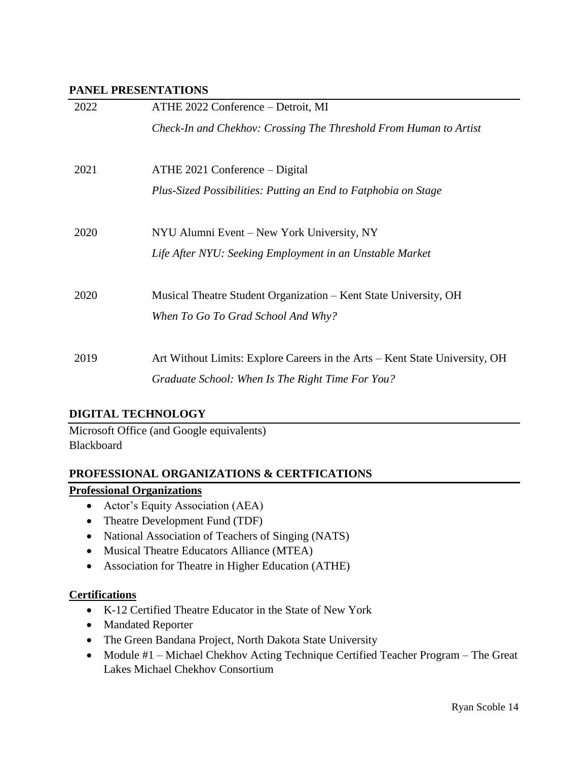#### **PANEL PRESENTATIONS**

| 2022 | ATHE 2022 Conference – Detroit, MI                                          |
|------|-----------------------------------------------------------------------------|
|      | Check-In and Chekhov: Crossing The Threshold From Human to Artist           |
|      |                                                                             |
| 2021 | ATHE 2021 Conference – Digital                                              |
|      | Plus-Sized Possibilities: Putting an End to Fatphobia on Stage              |
|      |                                                                             |
| 2020 | NYU Alumni Event – New York University, NY                                  |
|      | Life After NYU: Seeking Employment in an Unstable Market                    |
|      |                                                                             |
| 2020 | Musical Theatre Student Organization – Kent State University, OH            |
|      | When To Go To Grad School And Why?                                          |
|      |                                                                             |
| 2019 |                                                                             |
|      | Art Without Limits: Explore Careers in the Arts – Kent State University, OH |
|      | Graduate School: When Is The Right Time For You?                            |

## **DIGITAL TECHNOLOGY**

Microsoft Office (and Google equivalents) Blackboard

## **PROFESSIONAL ORGANIZATIONS & CERTFICATIONS**

## **Professional Organizations**

- Actor's Equity Association (AEA)
- Theatre Development Fund (TDF)
- National Association of Teachers of Singing (NATS)
- Musical Theatre Educators Alliance (MTEA)
- Association for Theatre in Higher Education (ATHE)

## **Certifications**

- K-12 Certified Theatre Educator in the State of New York
- Mandated Reporter
- The Green Bandana Project, North Dakota State University
- Module #1 Michael Chekhov Acting Technique Certified Teacher Program The Great Lakes Michael Chekhov Consortium